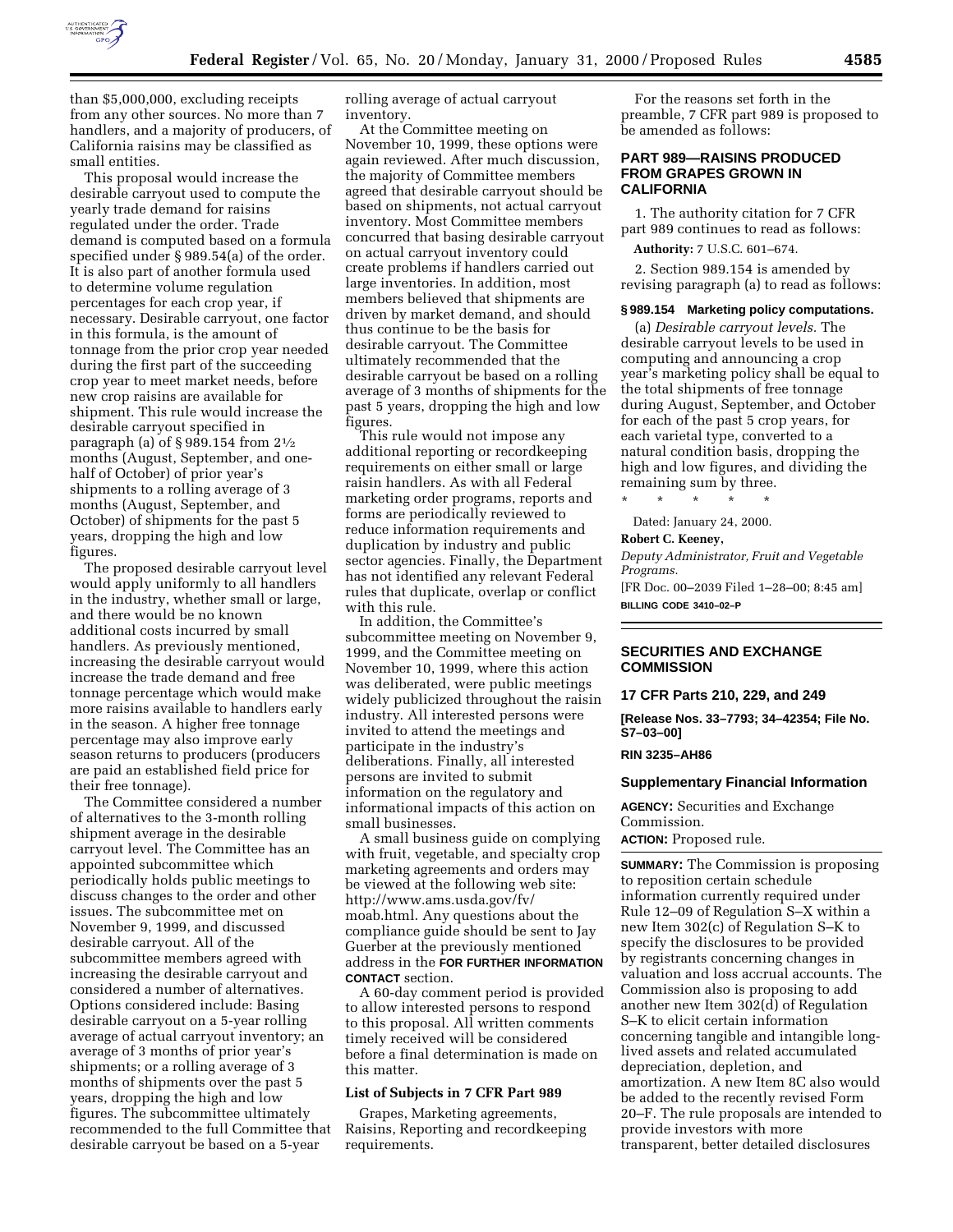

than \$5,000,000, excluding receipts from any other sources. No more than 7 handlers, and a majority of producers, of California raisins may be classified as small entities.

This proposal would increase the desirable carryout used to compute the yearly trade demand for raisins regulated under the order. Trade demand is computed based on a formula specified under § 989.54(a) of the order. It is also part of another formula used to determine volume regulation percentages for each crop year, if necessary. Desirable carryout, one factor in this formula, is the amount of tonnage from the prior crop year needed during the first part of the succeeding crop year to meet market needs, before new crop raisins are available for shipment. This rule would increase the desirable carryout specified in paragraph (a) of § 989.154 from 21⁄2 months (August, September, and onehalf of October) of prior year's shipments to a rolling average of 3 months (August, September, and October) of shipments for the past 5 years, dropping the high and low figures.

The proposed desirable carryout level would apply uniformly to all handlers in the industry, whether small or large, and there would be no known additional costs incurred by small handlers. As previously mentioned, increasing the desirable carryout would increase the trade demand and free tonnage percentage which would make more raisins available to handlers early in the season. A higher free tonnage percentage may also improve early season returns to producers (producers are paid an established field price for their free tonnage).

The Committee considered a number of alternatives to the 3-month rolling shipment average in the desirable carryout level. The Committee has an appointed subcommittee which periodically holds public meetings to discuss changes to the order and other issues. The subcommittee met on November 9, 1999, and discussed desirable carryout. All of the subcommittee members agreed with increasing the desirable carryout and considered a number of alternatives. Options considered include: Basing desirable carryout on a 5-year rolling average of actual carryout inventory; an average of 3 months of prior year's shipments; or a rolling average of 3 months of shipments over the past 5 years, dropping the high and low figures. The subcommittee ultimately recommended to the full Committee that desirable carryout be based on a 5-year

rolling average of actual carryout inventory.

At the Committee meeting on November 10, 1999, these options were again reviewed. After much discussion, the majority of Committee members agreed that desirable carryout should be based on shipments, not actual carryout inventory. Most Committee members concurred that basing desirable carryout on actual carryout inventory could create problems if handlers carried out large inventories. In addition, most members believed that shipments are driven by market demand, and should thus continue to be the basis for desirable carryout. The Committee ultimately recommended that the desirable carryout be based on a rolling average of 3 months of shipments for the past 5 years, dropping the high and low figures.

This rule would not impose any additional reporting or recordkeeping requirements on either small or large raisin handlers. As with all Federal marketing order programs, reports and forms are periodically reviewed to reduce information requirements and duplication by industry and public sector agencies. Finally, the Department has not identified any relevant Federal rules that duplicate, overlap or conflict with this rule.

In addition, the Committee's subcommittee meeting on November 9, 1999, and the Committee meeting on November 10, 1999, where this action was deliberated, were public meetings widely publicized throughout the raisin industry. All interested persons were invited to attend the meetings and participate in the industry's deliberations. Finally, all interested persons are invited to submit information on the regulatory and informational impacts of this action on small businesses.

A small business guide on complying with fruit, vegetable, and specialty crop marketing agreements and orders may be viewed at the following web site: http://www.ams.usda.gov/fv/ moab.html. Any questions about the compliance guide should be sent to Jay Guerber at the previously mentioned address in the **FOR FURTHER INFORMATION CONTACT** section.

A 60-day comment period is provided to allow interested persons to respond to this proposal. All written comments timely received will be considered before a final determination is made on this matter.

### **List of Subjects in 7 CFR Part 989**

Grapes, Marketing agreements, Raisins, Reporting and recordkeeping requirements.

For the reasons set forth in the preamble, 7 CFR part 989 is proposed to be amended as follows:

## **PART 989—RAISINS PRODUCED FROM GRAPES GROWN IN CALIFORNIA**

1. The authority citation for 7 CFR part 989 continues to read as follows:

**Authority:** 7 U.S.C. 601–674.

2. Section 989.154 is amended by revising paragraph (a) to read as follows:

#### **§ 989.154 Marketing policy computations.**

(a) *Desirable carryout levels.* The desirable carryout levels to be used in computing and announcing a crop year's marketing policy shall be equal to the total shipments of free tonnage during August, September, and October for each of the past 5 crop years, for each varietal type, converted to a natural condition basis, dropping the high and low figures, and dividing the remaining sum by three.

\* \* \* \* \*

Dated: January 24, 2000.

#### **Robert C. Keeney,**

*Deputy Administrator, Fruit and Vegetable Programs.*

[FR Doc. 00–2039 Filed 1–28–00; 8:45 am] **BILLING CODE 3410–02–P**

#### **SECURITIES AND EXCHANGE COMMISSION**

**17 CFR Parts 210, 229, and 249**

**[Release Nos. 33–7793; 34–42354; File No. S7–03–00]**

# **RIN 3235–AH86**

#### **Supplementary Financial Information**

**AGENCY:** Securities and Exchange Commission.

**ACTION: Proposed rule.** 

**SUMMARY:** The Commission is proposing to reposition certain schedule information currently required under Rule 12–09 of Regulation S–X within a new Item 302(c) of Regulation S–K to specify the disclosures to be provided by registrants concerning changes in valuation and loss accrual accounts. The Commission also is proposing to add another new Item 302(d) of Regulation S–K to elicit certain information concerning tangible and intangible longlived assets and related accumulated depreciation, depletion, and amortization. A new Item 8C also would be added to the recently revised Form 20–F. The rule proposals are intended to provide investors with more transparent, better detailed disclosures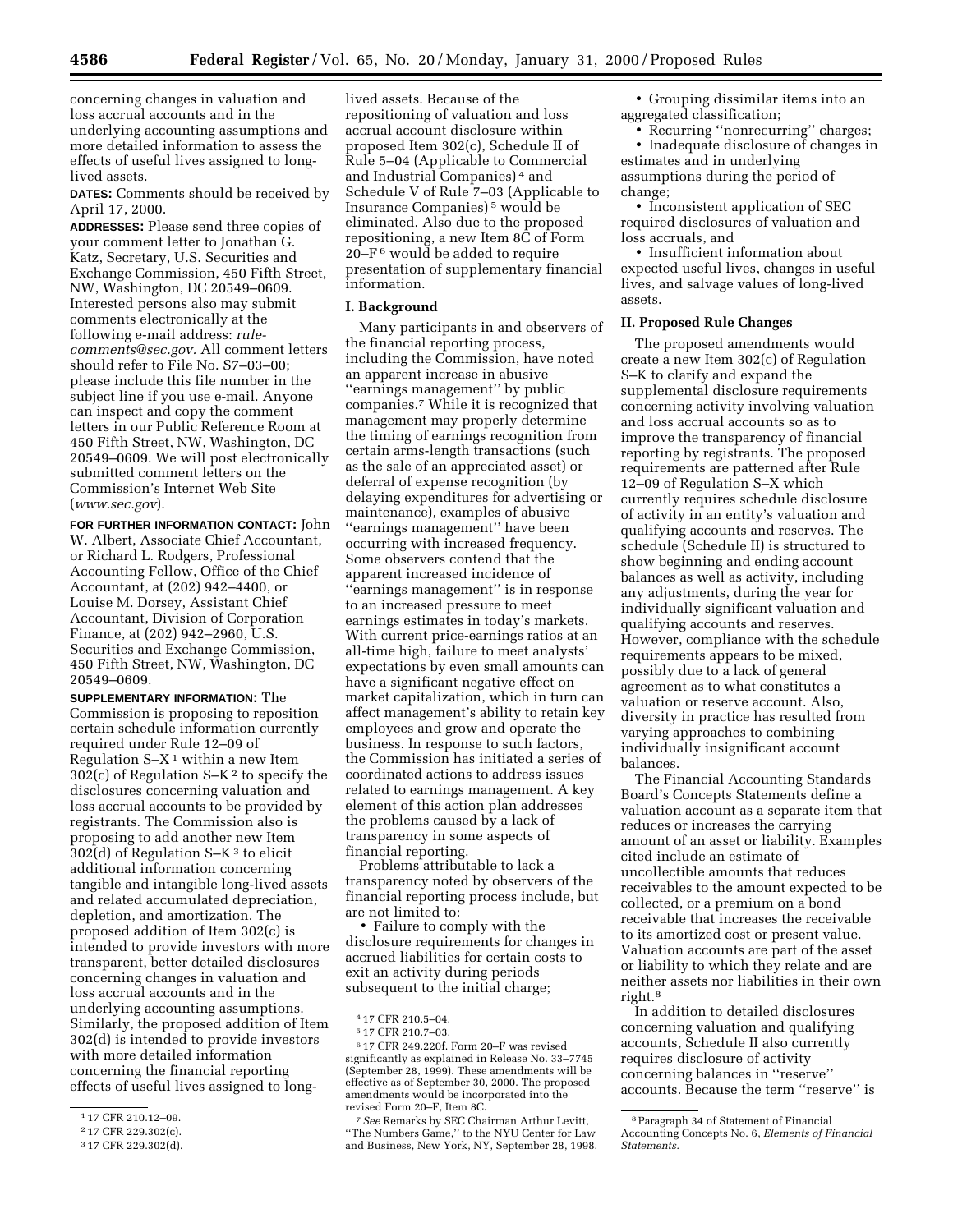concerning changes in valuation and loss accrual accounts and in the underlying accounting assumptions and more detailed information to assess the effects of useful lives assigned to longlived assets.

**DATES:** Comments should be received by April 17, 2000.

**ADDRESSES:** Please send three copies of your comment letter to Jonathan G. Katz, Secretary, U.S. Securities and Exchange Commission, 450 Fifth Street, NW, Washington, DC 20549–0609. Interested persons also may submit comments electronically at the following e-mail address: *rulecomments@sec.gov.* All comment letters should refer to File No. S7–03–00; please include this file number in the subject line if you use e-mail. Anyone can inspect and copy the comment letters in our Public Reference Room at 450 Fifth Street, NW, Washington, DC 20549–0609. We will post electronically submitted comment letters on the Commission's Internet Web Site (*www.sec.gov*).

**FOR FURTHER INFORMATION CONTACT:** John W. Albert, Associate Chief Accountant, or Richard L. Rodgers, Professional Accounting Fellow, Office of the Chief Accountant, at (202) 942–4400, or Louise M. Dorsey, Assistant Chief Accountant, Division of Corporation Finance, at (202) 942–2960, U.S. Securities and Exchange Commission, 450 Fifth Street, NW, Washington, DC 20549–0609.

**SUPPLEMENTARY INFORMATION:** The Commission is proposing to reposition certain schedule information currently required under Rule 12–09 of Regulation  $S-X^1$  within a new Item  $30\overline{2}$ (c) of Regulation S–K<sup>2</sup> to specify the disclosures concerning valuation and loss accrual accounts to be provided by registrants. The Commission also is proposing to add another new Item 302(d) of Regulation  $S-K<sup>3</sup>$  to elicit additional information concerning tangible and intangible long-lived assets and related accumulated depreciation, depletion, and amortization. The proposed addition of Item 302(c) is intended to provide investors with more transparent, better detailed disclosures concerning changes in valuation and loss accrual accounts and in the underlying accounting assumptions. Similarly, the proposed addition of Item 302(d) is intended to provide investors with more detailed information concerning the financial reporting effects of useful lives assigned to long-

lived assets. Because of the repositioning of valuation and loss accrual account disclosure within proposed Item 302(c), Schedule II of Rule 5–04 (Applicable to Commercial and Industrial Companies) 4 and Schedule V of Rule 7–03 (Applicable to Insurance Companies) 5 would be eliminated. Also due to the proposed repositioning, a new Item 8C of Form 20–F 6 would be added to require presentation of supplementary financial information.

#### **I. Background**

Many participants in and observers of the financial reporting process, including the Commission, have noted an apparent increase in abusive ''earnings management'' by public companies.7 While it is recognized that management may properly determine the timing of earnings recognition from certain arms-length transactions (such as the sale of an appreciated asset) or deferral of expense recognition (by delaying expenditures for advertising or maintenance), examples of abusive ''earnings management'' have been occurring with increased frequency. Some observers contend that the apparent increased incidence of ''earnings management'' is in response to an increased pressure to meet earnings estimates in today's markets. With current price-earnings ratios at an all-time high, failure to meet analysts' expectations by even small amounts can have a significant negative effect on market capitalization, which in turn can affect management's ability to retain key employees and grow and operate the business. In response to such factors, the Commission has initiated a series of coordinated actions to address issues related to earnings management. A key element of this action plan addresses the problems caused by a lack of transparency in some aspects of financial reporting.

Problems attributable to lack a transparency noted by observers of the financial reporting process include, but are not limited to:

• Failure to comply with the disclosure requirements for changes in accrued liabilities for certain costs to exit an activity during periods subsequent to the initial charge;

7*See* Remarks by SEC Chairman Arthur Levitt, ''The Numbers Game,'' to the NYU Center for Law and Business, New York, NY, September 28, 1998.

• Grouping dissimilar items into an aggregated classification;

• Recurring "nonrecurring" charges; • Inadequate disclosure of changes in

estimates and in underlying assumptions during the period of change;

• Inconsistent application of SEC required disclosures of valuation and loss accruals, and

• Insufficient information about expected useful lives, changes in useful lives, and salvage values of long-lived assets.

# **II. Proposed Rule Changes**

The proposed amendments would create a new Item 302(c) of Regulation S–K to clarify and expand the supplemental disclosure requirements concerning activity involving valuation and loss accrual accounts so as to improve the transparency of financial reporting by registrants. The proposed requirements are patterned after Rule 12–09 of Regulation S–X which currently requires schedule disclosure of activity in an entity's valuation and qualifying accounts and reserves. The schedule (Schedule II) is structured to show beginning and ending account balances as well as activity, including any adjustments, during the year for individually significant valuation and qualifying accounts and reserves. However, compliance with the schedule requirements appears to be mixed, possibly due to a lack of general agreement as to what constitutes a valuation or reserve account. Also, diversity in practice has resulted from varying approaches to combining individually insignificant account balances.

The Financial Accounting Standards Board's Concepts Statements define a valuation account as a separate item that reduces or increases the carrying amount of an asset or liability. Examples cited include an estimate of uncollectible amounts that reduces receivables to the amount expected to be collected, or a premium on a bond receivable that increases the receivable to its amortized cost or present value. Valuation accounts are part of the asset or liability to which they relate and are neither assets nor liabilities in their own right.8

In addition to detailed disclosures concerning valuation and qualifying accounts, Schedule II also currently requires disclosure of activity concerning balances in ''reserve'' accounts. Because the term ''reserve'' is

<sup>1</sup> 17 CFR 210.12–09.

<sup>2</sup> 17 CFR 229.302(c).

<sup>3</sup> 17 CFR 229.302(d).

<sup>4</sup> 17 CFR 210.5–04.

<sup>5</sup> 17 CFR 210.7–03.

<sup>6</sup> 17 CFR 249.220f. Form 20–F was revised significantly as explained in Release No. 33–7745 (September 28, 1999). These amendments will be effective as of September 30, 2000. The proposed amendments would be incorporated into the revised Form 20–F, Item 8C.

<sup>8</sup>Paragraph 34 of Statement of Financial Accounting Concepts No. 6, *Elements of Financial Statements.*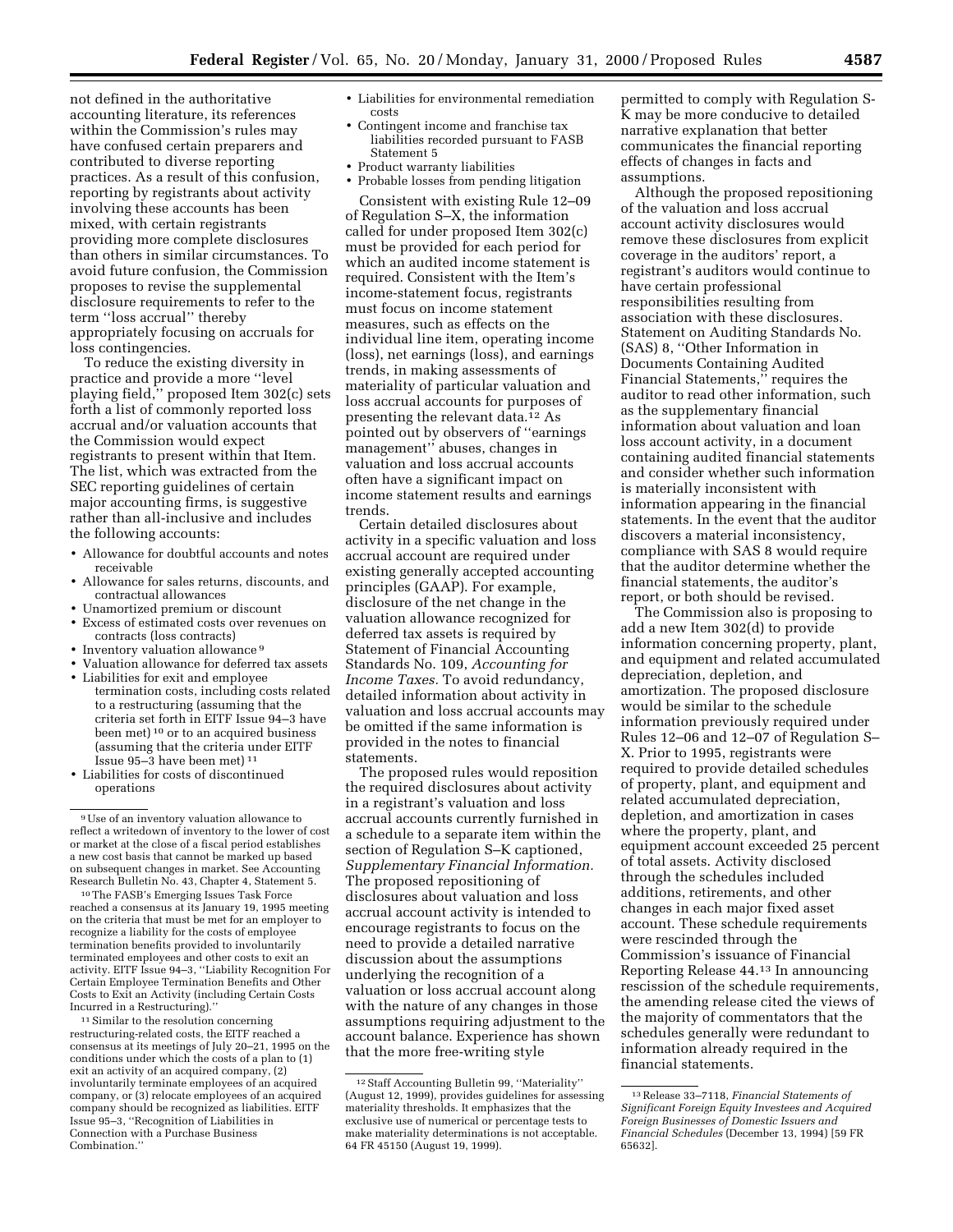not defined in the authoritative accounting literature, its references within the Commission's rules may have confused certain preparers and contributed to diverse reporting practices. As a result of this confusion, reporting by registrants about activity involving these accounts has been mixed, with certain registrants providing more complete disclosures than others in similar circumstances. To avoid future confusion, the Commission proposes to revise the supplemental disclosure requirements to refer to the term ''loss accrual'' thereby appropriately focusing on accruals for loss contingencies.

To reduce the existing diversity in practice and provide a more ''level playing field,'' proposed Item 302(c) sets forth a list of commonly reported loss accrual and/or valuation accounts that the Commission would expect registrants to present within that Item. The list, which was extracted from the SEC reporting guidelines of certain major accounting firms, is suggestive rather than all-inclusive and includes the following accounts:

- Allowance for doubtful accounts and notes receivable
- Allowance for sales returns, discounts, and contractual allowances
- Unamortized premium or discount
- Excess of estimated costs over revenues on contracts (loss contracts)
- Inventory valuation allowance<sup>9</sup>
- Valuation allowance for deferred tax assets
- Liabilities for exit and employee termination costs, including costs related to a restructuring (assuming that the criteria set forth in EITF Issue 94–3 have been met) 10 or to an acquired business (assuming that the criteria under EITF Issue 95–3 have been met) 11
- Liabilities for costs of discontinued operations

10The FASB's Emerging Issues Task Force reached a consensus at its January 19, 1995 meeting on the criteria that must be met for an employer to recognize a liability for the costs of employee termination benefits provided to involuntarily terminated employees and other costs to exit an activity. EITF Issue 94–3, ''Liability Recognition For Certain Employee Termination Benefits and Other Costs to Exit an Activity (including Certain Costs Incurred in a Restructuring).''

<sup>11</sup> Similar to the resolution concerning restructuring-related costs, the EITF reached a consensus at its meetings of July 20–21, 1995 on the conditions under which the costs of a plan to (1) exit an activity of an acquired company, (2) involuntarily terminate employees of an acquired company, or (3) relocate employees of an acquired company should be recognized as liabilities. EITF Issue 95–3, ''Recognition of Liabilities in Connection with a Purchase Business Combination.''

- Liabilities for environmental remediation
- Contingent income and franchise tax liabilities recorded pursuant to FASB Statement 5
- Product warranty liabilities

costs

• Probable losses from pending litigation

Consistent with existing Rule 12–09 of Regulation S–X, the information called for under proposed Item 302(c) must be provided for each period for which an audited income statement is required. Consistent with the Item's income-statement focus, registrants must focus on income statement measures, such as effects on the individual line item, operating income (loss), net earnings (loss), and earnings trends, in making assessments of materiality of particular valuation and loss accrual accounts for purposes of presenting the relevant data.<sup>12</sup> As pointed out by observers of ''earnings management'' abuses, changes in valuation and loss accrual accounts often have a significant impact on income statement results and earnings trends.

Certain detailed disclosures about activity in a specific valuation and loss accrual account are required under existing generally accepted accounting principles (GAAP). For example, disclosure of the net change in the valuation allowance recognized for deferred tax assets is required by Statement of Financial Accounting Standards No. 109, *Accounting for Income Taxes.* To avoid redundancy, detailed information about activity in valuation and loss accrual accounts may be omitted if the same information is provided in the notes to financial statements.

The proposed rules would reposition the required disclosures about activity in a registrant's valuation and loss accrual accounts currently furnished in a schedule to a separate item within the section of Regulation S–K captioned, *Supplementary Financial Information.* The proposed repositioning of disclosures about valuation and loss accrual account activity is intended to encourage registrants to focus on the need to provide a detailed narrative discussion about the assumptions underlying the recognition of a valuation or loss accrual account along with the nature of any changes in those assumptions requiring adjustment to the account balance. Experience has shown that the more free-writing style

permitted to comply with Regulation S-K may be more conducive to detailed narrative explanation that better communicates the financial reporting effects of changes in facts and assumptions.

Although the proposed repositioning of the valuation and loss accrual account activity disclosures would remove these disclosures from explicit coverage in the auditors' report, a registrant's auditors would continue to have certain professional responsibilities resulting from association with these disclosures. Statement on Auditing Standards No. (SAS) 8, ''Other Information in Documents Containing Audited Financial Statements,'' requires the auditor to read other information, such as the supplementary financial information about valuation and loan loss account activity, in a document containing audited financial statements and consider whether such information is materially inconsistent with information appearing in the financial statements. In the event that the auditor discovers a material inconsistency, compliance with SAS 8 would require that the auditor determine whether the financial statements, the auditor's report, or both should be revised.

The Commission also is proposing to add a new Item 302(d) to provide information concerning property, plant, and equipment and related accumulated depreciation, depletion, and amortization. The proposed disclosure would be similar to the schedule information previously required under Rules 12–06 and 12–07 of Regulation S– X. Prior to 1995, registrants were required to provide detailed schedules of property, plant, and equipment and related accumulated depreciation, depletion, and amortization in cases where the property, plant, and equipment account exceeded 25 percent of total assets. Activity disclosed through the schedules included additions, retirements, and other changes in each major fixed asset account. These schedule requirements were rescinded through the Commission's issuance of Financial Reporting Release 44.13 In announcing rescission of the schedule requirements, the amending release cited the views of the majority of commentators that the schedules generally were redundant to information already required in the financial statements.

<sup>9</sup>Use of an inventory valuation allowance to reflect a writedown of inventory to the lower of cost or market at the close of a fiscal period establishes a new cost basis that cannot be marked up based on subsequent changes in market. See Accounting Research Bulletin No. 43, Chapter 4, Statement 5.

<sup>12</sup>Staff Accounting Bulletin 99, ''Materiality'' (August 12, 1999), provides guidelines for assessing materiality thresholds. It emphasizes that the exclusive use of numerical or percentage tests to make materiality determinations is not acceptable. 64 FR 45150 (August 19, 1999).

<sup>13</sup>Release 33–7118, *Financial Statements of Significant Foreign Equity Investees and Acquired Foreign Businesses of Domestic Issuers and Financial Schedules* (December 13, 1994) [59 FR 65632].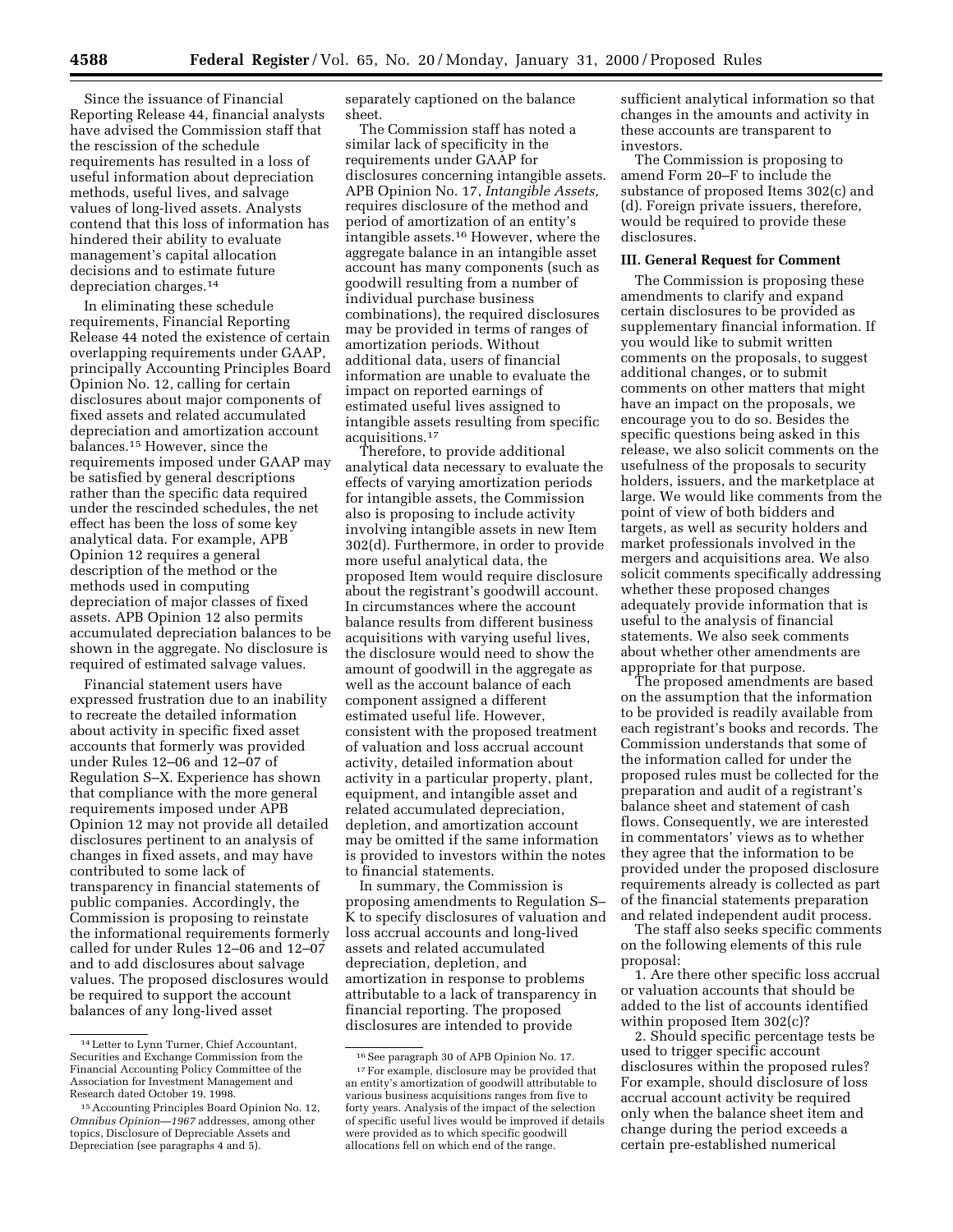Since the issuance of Financial Reporting Release 44, financial analysts have advised the Commission staff that the rescission of the schedule requirements has resulted in a loss of useful information about depreciation methods, useful lives, and salvage values of long-lived assets. Analysts contend that this loss of information has hindered their ability to evaluate management's capital allocation decisions and to estimate future depreciation charges.14

In eliminating these schedule requirements, Financial Reporting Release 44 noted the existence of certain overlapping requirements under GAAP, principally Accounting Principles Board Opinion No. 12, calling for certain disclosures about major components of fixed assets and related accumulated depreciation and amortization account balances.15 However, since the requirements imposed under GAAP may be satisfied by general descriptions rather than the specific data required under the rescinded schedules, the net effect has been the loss of some key analytical data. For example, APB Opinion 12 requires a general description of the method or the methods used in computing depreciation of major classes of fixed assets. APB Opinion 12 also permits accumulated depreciation balances to be shown in the aggregate. No disclosure is required of estimated salvage values.

Financial statement users have expressed frustration due to an inability to recreate the detailed information about activity in specific fixed asset accounts that formerly was provided under Rules 12–06 and 12–07 of Regulation S–X. Experience has shown that compliance with the more general requirements imposed under APB Opinion 12 may not provide all detailed disclosures pertinent to an analysis of changes in fixed assets, and may have contributed to some lack of transparency in financial statements of public companies. Accordingly, the Commission is proposing to reinstate the informational requirements formerly called for under Rules 12–06 and 12–07 and to add disclosures about salvage values. The proposed disclosures would be required to support the account balances of any long-lived asset

separately captioned on the balance sheet.

The Commission staff has noted a similar lack of specificity in the requirements under GAAP for disclosures concerning intangible assets. APB Opinion No. 17, *Intangible Assets,* requires disclosure of the method and period of amortization of an entity's intangible assets.16 However, where the aggregate balance in an intangible asset account has many components (such as goodwill resulting from a number of individual purchase business combinations), the required disclosures may be provided in terms of ranges of amortization periods. Without additional data, users of financial information are unable to evaluate the impact on reported earnings of estimated useful lives assigned to intangible assets resulting from specific acquisitions.17

Therefore, to provide additional analytical data necessary to evaluate the effects of varying amortization periods for intangible assets, the Commission also is proposing to include activity involving intangible assets in new Item 302(d). Furthermore, in order to provide more useful analytical data, the proposed Item would require disclosure about the registrant's goodwill account. In circumstances where the account balance results from different business acquisitions with varying useful lives, the disclosure would need to show the amount of goodwill in the aggregate as well as the account balance of each component assigned a different estimated useful life. However, consistent with the proposed treatment of valuation and loss accrual account activity, detailed information about activity in a particular property, plant, equipment, and intangible asset and related accumulated depreciation, depletion, and amortization account may be omitted if the same information is provided to investors within the notes to financial statements.

In summary, the Commission is proposing amendments to Regulation S– K to specify disclosures of valuation and loss accrual accounts and long-lived assets and related accumulated depreciation, depletion, and amortization in response to problems attributable to a lack of transparency in financial reporting. The proposed disclosures are intended to provide

sufficient analytical information so that changes in the amounts and activity in these accounts are transparent to investors.

The Commission is proposing to amend Form 20–F to include the substance of proposed Items 302(c) and (d). Foreign private issuers, therefore, would be required to provide these disclosures.

# **III. General Request for Comment**

The Commission is proposing these amendments to clarify and expand certain disclosures to be provided as supplementary financial information. If you would like to submit written comments on the proposals, to suggest additional changes, or to submit comments on other matters that might have an impact on the proposals, we encourage you to do so. Besides the specific questions being asked in this release, we also solicit comments on the usefulness of the proposals to security holders, issuers, and the marketplace at large. We would like comments from the point of view of both bidders and targets, as well as security holders and market professionals involved in the mergers and acquisitions area. We also solicit comments specifically addressing whether these proposed changes adequately provide information that is useful to the analysis of financial statements. We also seek comments about whether other amendments are appropriate for that purpose.

The proposed amendments are based on the assumption that the information to be provided is readily available from each registrant's books and records. The Commission understands that some of the information called for under the proposed rules must be collected for the preparation and audit of a registrant's balance sheet and statement of cash flows. Consequently, we are interested in commentators' views as to whether they agree that the information to be provided under the proposed disclosure requirements already is collected as part of the financial statements preparation and related independent audit process.

The staff also seeks specific comments on the following elements of this rule proposal:

1. Are there other specific loss accrual or valuation accounts that should be added to the list of accounts identified within proposed Item 302(c)?

2. Should specific percentage tests be used to trigger specific account disclosures within the proposed rules? For example, should disclosure of loss accrual account activity be required only when the balance sheet item and change during the period exceeds a certain pre-established numerical

<sup>14</sup>Letter to Lynn Turner, Chief Accountant, Securities and Exchange Commission from the Financial Accounting Policy Committee of the Association for Investment Management and Research dated October 19, 1998.

<sup>15</sup>Accounting Principles Board Opinion No. 12, *Omnibus Opinion—1967* addresses, among other topics, Disclosure of Depreciable Assets and Depreciation (see paragraphs 4 and 5).

<sup>16</sup>See paragraph 30 of APB Opinion No. 17. 17For example, disclosure may be provided that an entity's amortization of goodwill attributable to various business acquisitions ranges from five to forty years. Analysis of the impact of the selection of specific useful lives would be improved if details were provided as to which specific goodwill allocations fell on which end of the range.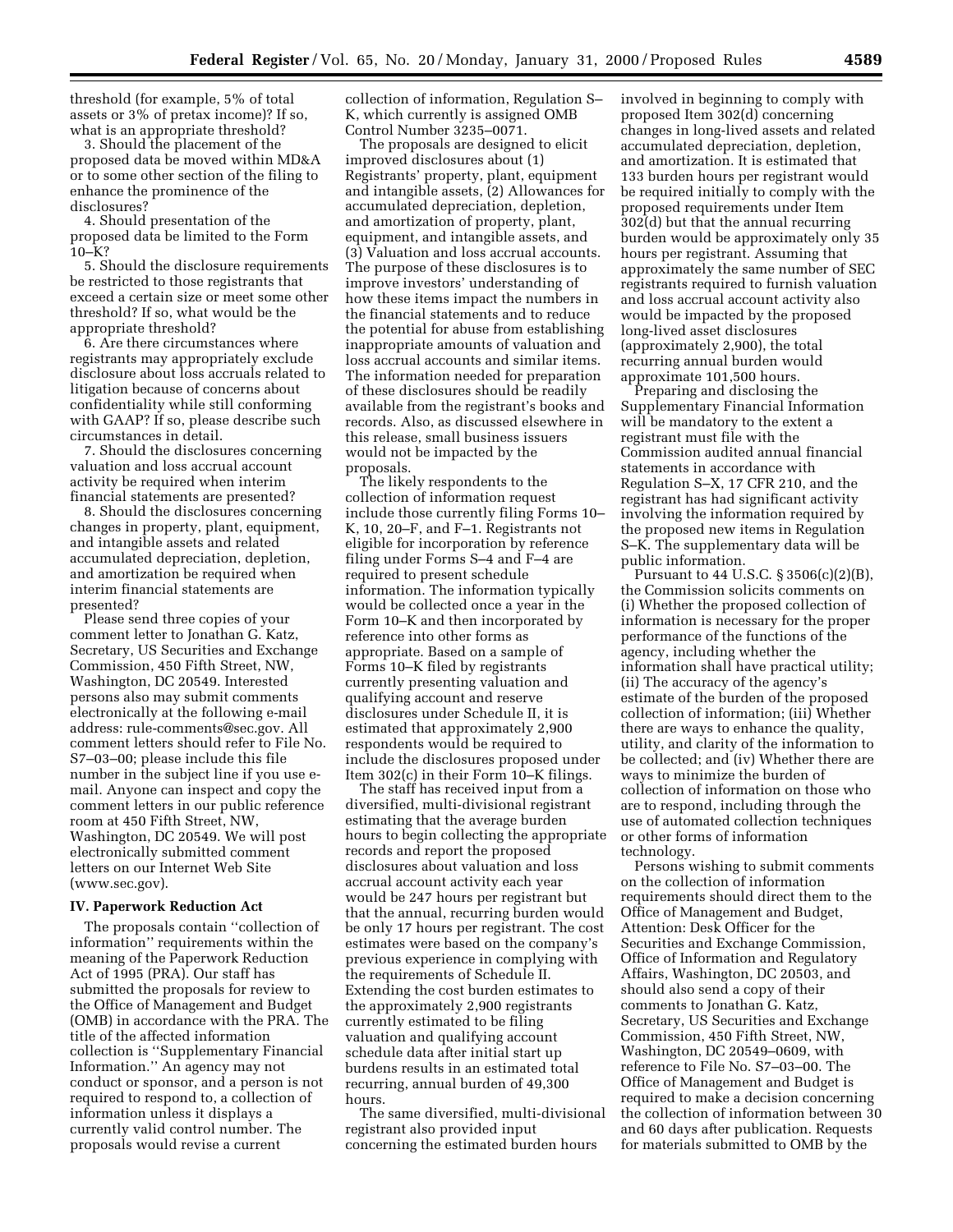threshold (for example, 5% of total assets or 3% of pretax income)? If so, what is an appropriate threshold?

3. Should the placement of the proposed data be moved within MD&A or to some other section of the filing to enhance the prominence of the disclosures?

4. Should presentation of the proposed data be limited to the Form  $10–K?$ 

5. Should the disclosure requirements be restricted to those registrants that exceed a certain size or meet some other threshold? If so, what would be the appropriate threshold?

6. Are there circumstances where registrants may appropriately exclude disclosure about loss accruals related to litigation because of concerns about confidentiality while still conforming with GAAP? If so, please describe such circumstances in detail.

7. Should the disclosures concerning valuation and loss accrual account activity be required when interim financial statements are presented?

8. Should the disclosures concerning changes in property, plant, equipment, and intangible assets and related accumulated depreciation, depletion, and amortization be required when interim financial statements are presented?

Please send three copies of your comment letter to Jonathan G. Katz, Secretary, US Securities and Exchange Commission, 450 Fifth Street, NW, Washington, DC 20549. Interested persons also may submit comments electronically at the following e-mail address: rule-comments@sec.gov. All comment letters should refer to File No. S7–03–00; please include this file number in the subject line if you use email. Anyone can inspect and copy the comment letters in our public reference room at 450 Fifth Street, NW, Washington, DC 20549. We will post electronically submitted comment letters on our Internet Web Site (www.sec.gov).

# **IV. Paperwork Reduction Act**

The proposals contain ''collection of information'' requirements within the meaning of the Paperwork Reduction Act of 1995 (PRA). Our staff has submitted the proposals for review to the Office of Management and Budget (OMB) in accordance with the PRA. The title of the affected information collection is ''Supplementary Financial Information.'' An agency may not conduct or sponsor, and a person is not required to respond to, a collection of information unless it displays a currently valid control number. The proposals would revise a current

collection of information, Regulation S– K, which currently is assigned OMB Control Number 3235–0071.

The proposals are designed to elicit improved disclosures about (1) Registrants' property, plant, equipment and intangible assets, (2) Allowances for accumulated depreciation, depletion, and amortization of property, plant, equipment, and intangible assets, and (3) Valuation and loss accrual accounts. The purpose of these disclosures is to improve investors' understanding of how these items impact the numbers in the financial statements and to reduce the potential for abuse from establishing inappropriate amounts of valuation and loss accrual accounts and similar items. The information needed for preparation of these disclosures should be readily available from the registrant's books and records. Also, as discussed elsewhere in this release, small business issuers would not be impacted by the proposals.

The likely respondents to the collection of information request include those currently filing Forms 10– K, 10, 20–F, and F–1. Registrants not eligible for incorporation by reference filing under Forms S–4 and F–4 are required to present schedule information. The information typically would be collected once a year in the Form 10–K and then incorporated by reference into other forms as appropriate. Based on a sample of Forms 10–K filed by registrants currently presenting valuation and qualifying account and reserve disclosures under Schedule II, it is estimated that approximately 2,900 respondents would be required to include the disclosures proposed under Item 302(c) in their Form 10–K filings.

The staff has received input from a diversified, multi-divisional registrant estimating that the average burden hours to begin collecting the appropriate records and report the proposed disclosures about valuation and loss accrual account activity each year would be 247 hours per registrant but that the annual, recurring burden would be only 17 hours per registrant. The cost estimates were based on the company's previous experience in complying with the requirements of Schedule II. Extending the cost burden estimates to the approximately 2,900 registrants currently estimated to be filing valuation and qualifying account schedule data after initial start up burdens results in an estimated total recurring, annual burden of 49,300 hours.

The same diversified, multi-divisional registrant also provided input concerning the estimated burden hours

involved in beginning to comply with proposed Item 302(d) concerning changes in long-lived assets and related accumulated depreciation, depletion, and amortization. It is estimated that 133 burden hours per registrant would be required initially to comply with the proposed requirements under Item 302(d) but that the annual recurring burden would be approximately only 35 hours per registrant. Assuming that approximately the same number of SEC registrants required to furnish valuation and loss accrual account activity also would be impacted by the proposed long-lived asset disclosures (approximately 2,900), the total recurring annual burden would approximate 101,500 hours.

Preparing and disclosing the Supplementary Financial Information will be mandatory to the extent a registrant must file with the Commission audited annual financial statements in accordance with Regulation S–X, 17 CFR 210, and the registrant has had significant activity involving the information required by the proposed new items in Regulation S–K. The supplementary data will be public information.

Pursuant to 44 U.S.C. § 3506(c)(2)(B), the Commission solicits comments on (i) Whether the proposed collection of information is necessary for the proper performance of the functions of the agency, including whether the information shall have practical utility; (ii) The accuracy of the agency's estimate of the burden of the proposed collection of information; (iii) Whether there are ways to enhance the quality, utility, and clarity of the information to be collected; and (iv) Whether there are ways to minimize the burden of collection of information on those who are to respond, including through the use of automated collection techniques or other forms of information technology.

Persons wishing to submit comments on the collection of information requirements should direct them to the Office of Management and Budget, Attention: Desk Officer for the Securities and Exchange Commission, Office of Information and Regulatory Affairs, Washington, DC 20503, and should also send a copy of their comments to Jonathan G. Katz, Secretary, US Securities and Exchange Commission, 450 Fifth Street, NW, Washington, DC 20549–0609, with reference to File No. S7–03–00. The Office of Management and Budget is required to make a decision concerning the collection of information between 30 and 60 days after publication. Requests for materials submitted to OMB by the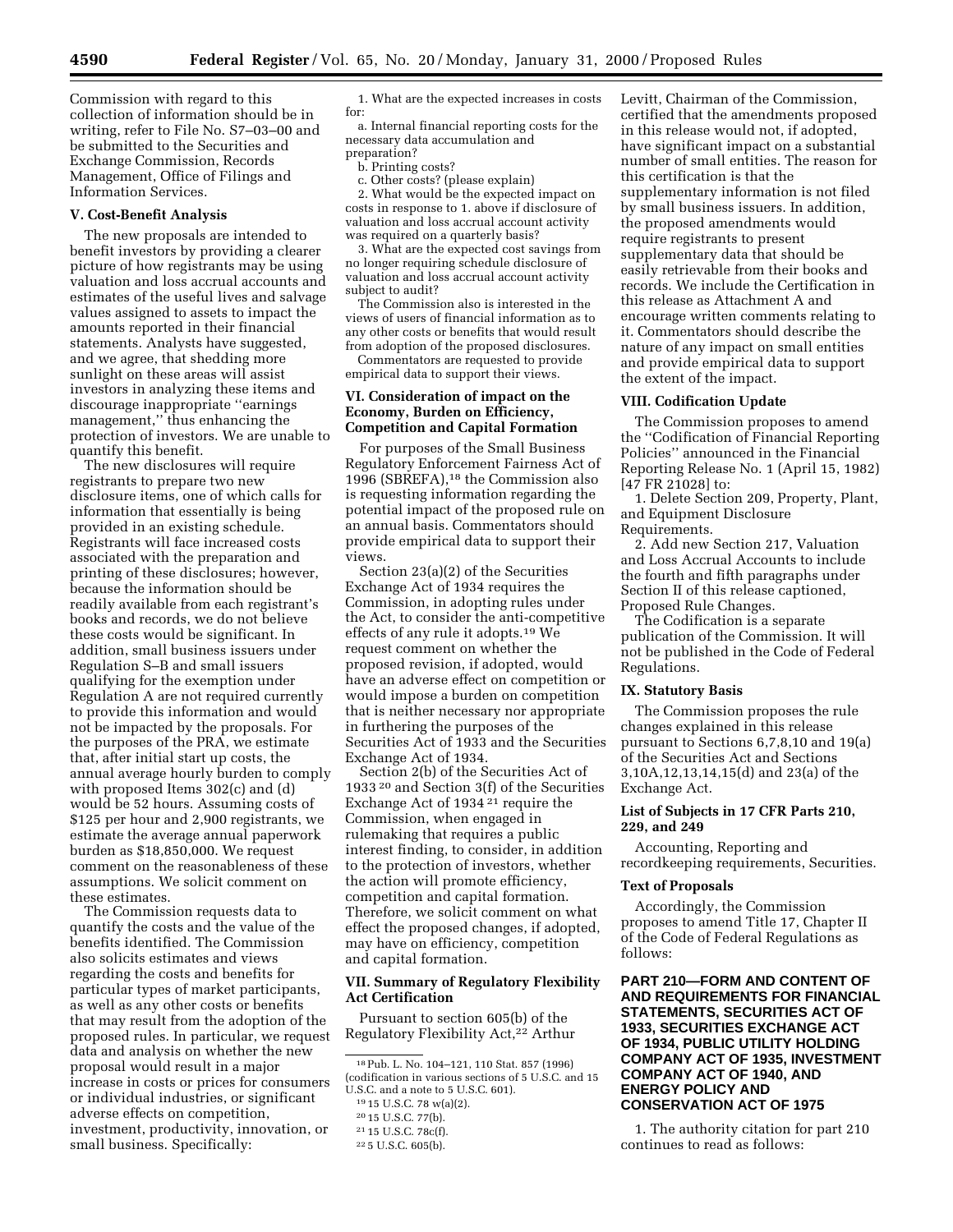Commission with regard to this collection of information should be in writing, refer to File No. S7–03–00 and be submitted to the Securities and Exchange Commission, Records Management, Office of Filings and Information Services.

# **V. Cost-Benefit Analysis**

The new proposals are intended to benefit investors by providing a clearer picture of how registrants may be using valuation and loss accrual accounts and estimates of the useful lives and salvage values assigned to assets to impact the amounts reported in their financial statements. Analysts have suggested, and we agree, that shedding more sunlight on these areas will assist investors in analyzing these items and discourage inappropriate ''earnings management,'' thus enhancing the protection of investors. We are unable to quantify this benefit.

The new disclosures will require registrants to prepare two new disclosure items, one of which calls for information that essentially is being provided in an existing schedule. Registrants will face increased costs associated with the preparation and printing of these disclosures; however, because the information should be readily available from each registrant's books and records, we do not believe these costs would be significant. In addition, small business issuers under Regulation S–B and small issuers qualifying for the exemption under Regulation A are not required currently to provide this information and would not be impacted by the proposals. For the purposes of the PRA, we estimate that, after initial start up costs, the annual average hourly burden to comply with proposed Items 302(c) and (d) would be 52 hours. Assuming costs of \$125 per hour and 2,900 registrants, we estimate the average annual paperwork burden as \$18,850,000. We request comment on the reasonableness of these assumptions. We solicit comment on these estimates.

The Commission requests data to quantify the costs and the value of the benefits identified. The Commission also solicits estimates and views regarding the costs and benefits for particular types of market participants, as well as any other costs or benefits that may result from the adoption of the proposed rules. In particular, we request data and analysis on whether the new proposal would result in a major increase in costs or prices for consumers or individual industries, or significant adverse effects on competition, investment, productivity, innovation, or small business. Specifically:

1. What are the expected increases in costs for:

a. Internal financial reporting costs for the necessary data accumulation and preparation?

b. Printing costs?

c. Other costs? (please explain)

2. What would be the expected impact on costs in response to 1. above if disclosure of valuation and loss accrual account activity was required on a quarterly basis?

3. What are the expected cost savings from no longer requiring schedule disclosure of valuation and loss accrual account activity subject to audit?

The Commission also is interested in the views of users of financial information as to any other costs or benefits that would result from adoption of the proposed disclosures.

Commentators are requested to provide empirical data to support their views.

# **VI. Consideration of impact on the Economy, Burden on Efficiency, Competition and Capital Formation**

For purposes of the Small Business Regulatory Enforcement Fairness Act of 1996 (SBREFA),18 the Commission also is requesting information regarding the potential impact of the proposed rule on an annual basis. Commentators should provide empirical data to support their views.

Section 23(a)(2) of the Securities Exchange Act of 1934 requires the Commission, in adopting rules under the Act, to consider the anti-competitive effects of any rule it adopts.19 We request comment on whether the proposed revision, if adopted, would have an adverse effect on competition or would impose a burden on competition that is neither necessary nor appropriate in furthering the purposes of the Securities Act of 1933 and the Securities Exchange Act of 1934.

Section 2(b) of the Securities Act of 1933 20 and Section 3(f) of the Securities Exchange Act of 1934 21 require the Commission, when engaged in rulemaking that requires a public interest finding, to consider, in addition to the protection of investors, whether the action will promote efficiency, competition and capital formation. Therefore, we solicit comment on what effect the proposed changes, if adopted, may have on efficiency, competition and capital formation.

# **VII. Summary of Regulatory Flexibility Act Certification**

Pursuant to section 605(b) of the Regulatory Flexibility Act,22 Arthur Levitt, Chairman of the Commission, certified that the amendments proposed in this release would not, if adopted, have significant impact on a substantial number of small entities. The reason for this certification is that the supplementary information is not filed by small business issuers. In addition, the proposed amendments would require registrants to present supplementary data that should be easily retrievable from their books and records. We include the Certification in this release as Attachment A and encourage written comments relating to it. Commentators should describe the nature of any impact on small entities and provide empirical data to support the extent of the impact.

#### **VIII. Codification Update**

The Commission proposes to amend the ''Codification of Financial Reporting Policies'' announced in the Financial Reporting Release No. 1 (April 15, 1982) [47 FR 21028] to:

1. Delete Section 209, Property, Plant, and Equipment Disclosure Requirements.

2. Add new Section 217, Valuation and Loss Accrual Accounts to include the fourth and fifth paragraphs under Section II of this release captioned, Proposed Rule Changes.

The Codification is a separate publication of the Commission. It will not be published in the Code of Federal Regulations.

## **IX. Statutory Basis**

The Commission proposes the rule changes explained in this release pursuant to Sections 6,7,8,10 and 19(a) of the Securities Act and Sections 3,10A,12,13,14,15(d) and 23(a) of the Exchange Act.

# **List of Subjects in 17 CFR Parts 210, 229, and 249**

Accounting, Reporting and recordkeeping requirements, Securities.

# **Text of Proposals**

Accordingly, the Commission proposes to amend Title 17, Chapter II of the Code of Federal Regulations as follows:

**PART 210—FORM AND CONTENT OF AND REQUIREMENTS FOR FINANCIAL STATEMENTS, SECURITIES ACT OF 1933, SECURITIES EXCHANGE ACT OF 1934, PUBLIC UTILITY HOLDING COMPANY ACT OF 1935, INVESTMENT COMPANY ACT OF 1940, AND ENERGY POLICY AND CONSERVATION ACT OF 1975**

1. The authority citation for part 210 continues to read as follows:

<sup>18</sup>Pub. L. No. 104–121, 110 Stat. 857 (1996) (codification in various sections of 5 U.S.C. and 15 U.S.C. and a note to 5 U.S.C. 601).

<sup>19</sup> 15 U.S.C. 78 w(a)(2).

<sup>20</sup> 15 U.S.C. 77(b).

<sup>21</sup> 15 U.S.C. 78c(f).

<sup>22</sup> 5 U.S.C. 605(b).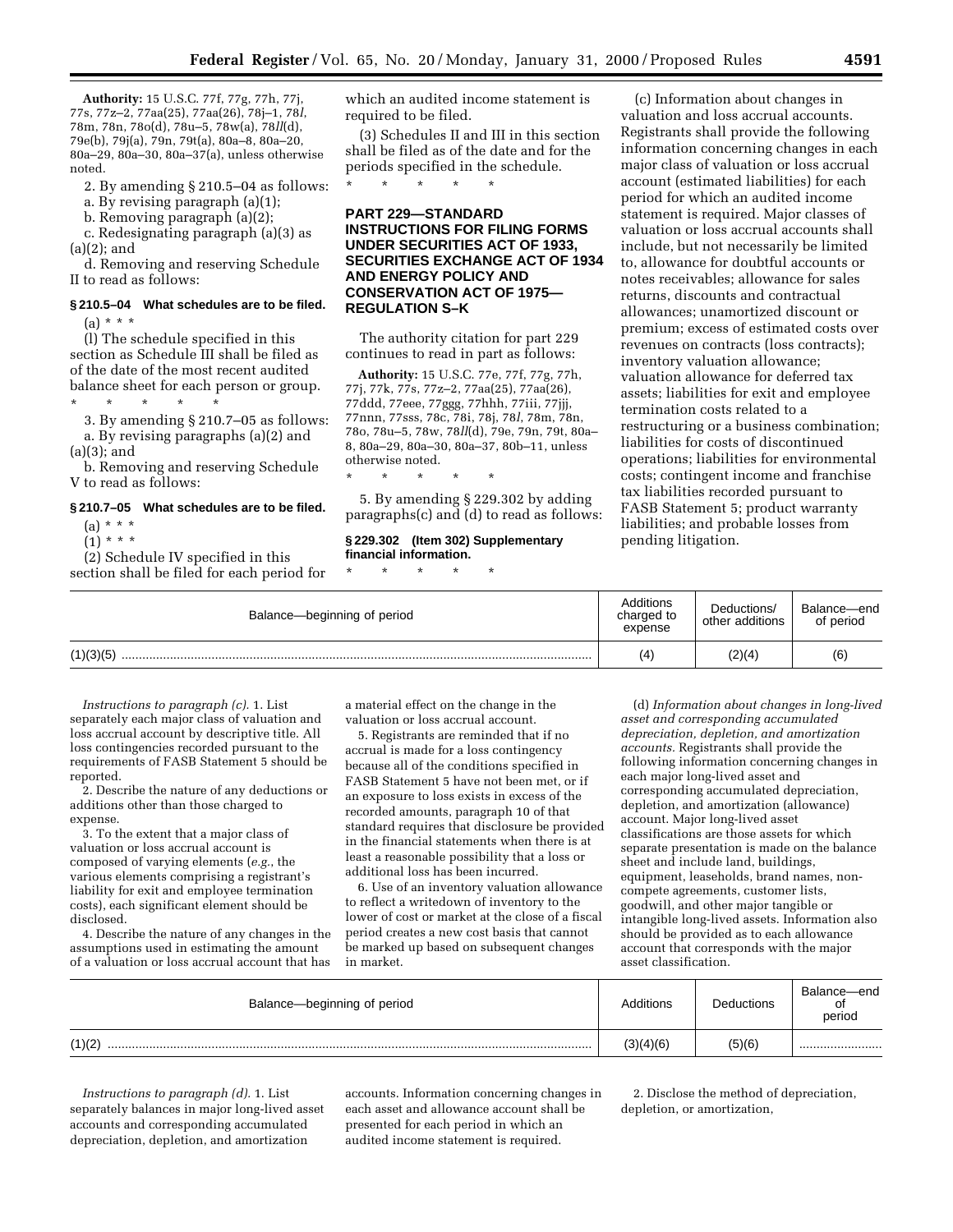**Authority:** 15 U.S.C. 77f, 77g, 77h, 77j, 77s, 77z–2, 77aa(25), 77aa(26), 78j–1, 78*l*, 78m, 78n, 78o(d), 78u–5, 78w(a), 78*ll*(d), 79e(b), 79j(a), 79n, 79t(a), 80a–8, 80a–20, 80a–29, 80a–30, 80a–37(a), unless otherwise noted.

2. By amending § 210.5–04 as follows:

a. By revising paragraph (a)(1);

b. Removing paragraph (a)(2);

c. Redesignating paragraph (a)(3) as (a)(2); and

d. Removing and reserving Schedule II to read as follows:

# **§ 210.5–04 What schedules are to be filed.**  $(a) * * *$

(l) The schedule specified in this section as Schedule III shall be filed as of the date of the most recent audited balance sheet for each person or group. \* \* \* \* \*

3. By amending § 210.7–05 as follows: a. By revising paragraphs (a)(2) and

(a)(3); and b. Removing and reserving Schedule

V to read as follows:

#### **§ 210.7–05 What schedules are to be filed.**

 $(a) * * * *$  $(1) * * * *$ 

(2) Schedule IV specified in this

section shall be filed for each period for

which an audited income statement is required to be filed.

(3) Schedules II and III in this section shall be filed as of the date and for the periods specified in the schedule.

\* \* \* \* \*

# **PART 229—STANDARD INSTRUCTIONS FOR FILING FORMS UNDER SECURITIES ACT OF 1933, SECURITIES EXCHANGE ACT OF 1934 AND ENERGY POLICY AND CONSERVATION ACT OF 1975— REGULATION S–K**

The authority citation for part 229 continues to read in part as follows:

**Authority:** 15 U.S.C. 77e, 77f, 77g, 77h, 77j, 77k, 77s, 77z–2, 77aa(25), 77aa(26), 77ddd, 77eee, 77ggg, 77hhh, 77iii, 77jjj, 77nnn, 77sss, 78c, 78i, 78j, 78*l*, 78m, 78n, 78o, 78u–5, 78w, 78*ll*(d), 79e, 79n, 79t, 80a– 8, 80a–29, 80a–30, 80a–37, 80b–11, unless otherwise noted.

\* \* \* \* \*

5. By amending § 229.302 by adding paragraphs(c) and (d) to read as follows:

# **§ 229.302 (Item 302) Supplementary financial information.**

\* \* \* \* \*

(c) Information about changes in valuation and loss accrual accounts. Registrants shall provide the following information concerning changes in each major class of valuation or loss accrual account (estimated liabilities) for each period for which an audited income statement is required. Major classes of valuation or loss accrual accounts shall include, but not necessarily be limited to, allowance for doubtful accounts or notes receivables; allowance for sales returns, discounts and contractual allowances; unamortized discount or premium; excess of estimated costs over revenues on contracts (loss contracts); inventory valuation allowance; valuation allowance for deferred tax assets; liabilities for exit and employee termination costs related to a restructuring or a business combination; liabilities for costs of discontinued operations; liabilities for environmental costs; contingent income and franchise tax liabilities recorded pursuant to FASB Statement 5; product warranty liabilities; and probable losses from pending litigation.

| Balance—beginning of period | Additions<br>charged to<br>expense | Deductions/<br>other additions | Balance-end<br>of period |
|-----------------------------|------------------------------------|--------------------------------|--------------------------|
| (1)(3)(5)                   | (4)                                | (2)(4)                         | (6)                      |

*Instructions to paragraph (c).* 1. List separately each major class of valuation and loss accrual account by descriptive title. All loss contingencies recorded pursuant to the requirements of FASB Statement 5 should be reported.

2. Describe the nature of any deductions or additions other than those charged to expense.

3. To the extent that a major class of valuation or loss accrual account is composed of varying elements (*e.g.*, the various elements comprising a registrant's liability for exit and employee termination costs), each significant element should be disclosed.

4. Describe the nature of any changes in the assumptions used in estimating the amount of a valuation or loss accrual account that has

a material effect on the change in the valuation or loss accrual account.

5. Registrants are reminded that if no accrual is made for a loss contingency because all of the conditions specified in FASB Statement 5 have not been met, or if an exposure to loss exists in excess of the recorded amounts, paragraph 10 of that standard requires that disclosure be provided in the financial statements when there is at least a reasonable possibility that a loss or additional loss has been incurred.

6. Use of an inventory valuation allowance to reflect a writedown of inventory to the lower of cost or market at the close of a fiscal period creates a new cost basis that cannot be marked up based on subsequent changes in market.

(d) *Information about changes in long-lived asset and corresponding accumulated depreciation, depletion, and amortization accounts.* Registrants shall provide the following information concerning changes in each major long-lived asset and corresponding accumulated depreciation, depletion, and amortization (allowance) account. Major long-lived asset classifications are those assets for which separate presentation is made on the balance sheet and include land, buildings, equipment, leaseholds, brand names, noncompete agreements, customer lists, goodwill, and other major tangible or intangible long-lived assets. Information also should be provided as to each allowance account that corresponds with the major asset classification.

| Balance-beginning of period | Additions | <b>Deductions</b> | Balance-end<br>period |
|-----------------------------|-----------|-------------------|-----------------------|
| (1)(2)                      | (3)(4)(6) | (5)(6)            |                       |

*Instructions to paragraph (d).* 1. List separately balances in major long-lived asset accounts and corresponding accumulated depreciation, depletion, and amortization

accounts. Information concerning changes in each asset and allowance account shall be presented for each period in which an audited income statement is required.

2. Disclose the method of depreciation, depletion, or amortization,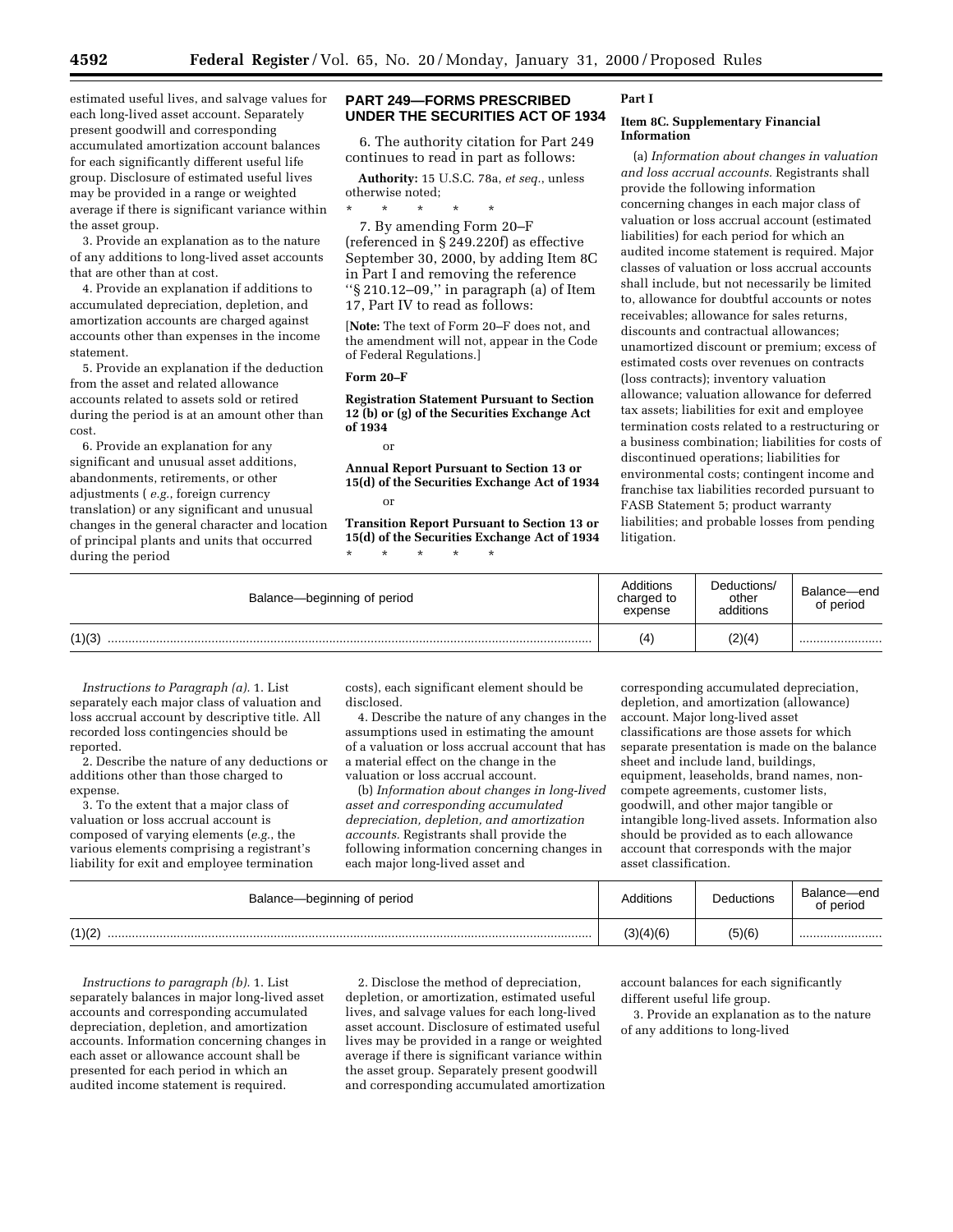estimated useful lives, and salvage values for each long-lived asset account. Separately present goodwill and corresponding accumulated amortization account balances for each significantly different useful life group. Disclosure of estimated useful lives may be provided in a range or weighted average if there is significant variance within the asset group.

3. Provide an explanation as to the nature of any additions to long-lived asset accounts that are other than at cost.

4. Provide an explanation if additions to accumulated depreciation, depletion, and amortization accounts are charged against accounts other than expenses in the income statement.

5. Provide an explanation if the deduction from the asset and related allowance accounts related to assets sold or retired during the period is at an amount other than cost.

6. Provide an explanation for any significant and unusual asset additions, abandonments, retirements, or other adjustments ( *e.g.*, foreign currency translation) or any significant and unusual changes in the general character and location of principal plants and units that occurred during the period

# **PART 249—FORMS PRESCRIBED UNDER THE SECURITIES ACT OF 1934**

6. The authority citation for Part 249 continues to read in part as follows:

**Authority:** 15 U.S.C. 78a, *et seq.*, unless otherwise noted;

\* \* \* \* \* 7. By amending Form 20–F (referenced in § 249.220f) as effective September 30, 2000, by adding Item 8C in Part I and removing the reference ''§ 210.12–09,'' in paragraph (a) of Item 17, Part IV to read as follows:

[**Note:** The text of Form 20–F does not, and the amendment will not, appear in the Code of Federal Regulations.]

### **Form 20–F**

**Registration Statement Pursuant to Section 12 (b) or (g) of the Securities Exchange Act of 1934**

or

**Annual Report Pursuant to Section 13 or 15(d) of the Securities Exchange Act of 1934** or

**Transition Report Pursuant to Section 13 or 15(d) of the Securities Exchange Act of 1934** \* \* \* \* \*

# **Part I**

# **Item 8C. Supplementary Financial Information**

(a) *Information about changes in valuation and loss accrual accounts.* Registrants shall provide the following information concerning changes in each major class of valuation or loss accrual account (estimated liabilities) for each period for which an audited income statement is required. Major classes of valuation or loss accrual accounts shall include, but not necessarily be limited to, allowance for doubtful accounts or notes receivables; allowance for sales returns, discounts and contractual allowances; unamortized discount or premium; excess of estimated costs over revenues on contracts (loss contracts); inventory valuation allowance; valuation allowance for deferred tax assets; liabilities for exit and employee termination costs related to a restructuring or a business combination; liabilities for costs of discontinued operations; liabilities for environmental costs; contingent income and franchise tax liabilities recorded pursuant to FASB Statement 5; product warranty liabilities; and probable losses from pending litigation.

| Balance-beginning of period | Additions<br>charged to<br>expense | Deductions/<br>other<br>additions | Balance-end<br>of period |
|-----------------------------|------------------------------------|-----------------------------------|--------------------------|
| (1)(3)                      | $\left( 4\right)$                  | (2)(4)                            |                          |

*Instructions to Paragraph (a).* 1. List separately each major class of valuation and loss accrual account by descriptive title. All recorded loss contingencies should be reported.

2. Describe the nature of any deductions or additions other than those charged to expense.

3. To the extent that a major class of valuation or loss accrual account is composed of varying elements (*e.g.*, the various elements comprising a registrant's liability for exit and employee termination costs), each significant element should be disclosed.

4. Describe the nature of any changes in the assumptions used in estimating the amount of a valuation or loss accrual account that has a material effect on the change in the valuation or loss accrual account.

(b) *Information about changes in long-lived asset and corresponding accumulated depreciation, depletion, and amortization accounts.* Registrants shall provide the following information concerning changes in each major long-lived asset and

corresponding accumulated depreciation, depletion, and amortization (allowance) account. Major long-lived asset classifications are those assets for which separate presentation is made on the balance sheet and include land, buildings, equipment, leaseholds, brand names, noncompete agreements, customer lists, goodwill, and other major tangible or intangible long-lived assets. Information also should be provided as to each allowance account that corresponds with the major asset classification.

| Balance—beginning of period | Additions | <b>Deductions</b> | Balance-end<br>of period |
|-----------------------------|-----------|-------------------|--------------------------|
| (1)(2)                      | (3)(4)(6) | (5)(6)            |                          |

*Instructions to paragraph (b).* 1. List separately balances in major long-lived asset accounts and corresponding accumulated depreciation, depletion, and amortization accounts. Information concerning changes in each asset or allowance account shall be presented for each period in which an audited income statement is required.

2. Disclose the method of depreciation, depletion, or amortization, estimated useful lives, and salvage values for each long-lived asset account. Disclosure of estimated useful lives may be provided in a range or weighted average if there is significant variance within the asset group. Separately present goodwill and corresponding accumulated amortization account balances for each significantly different useful life group.

3. Provide an explanation as to the nature of any additions to long-lived